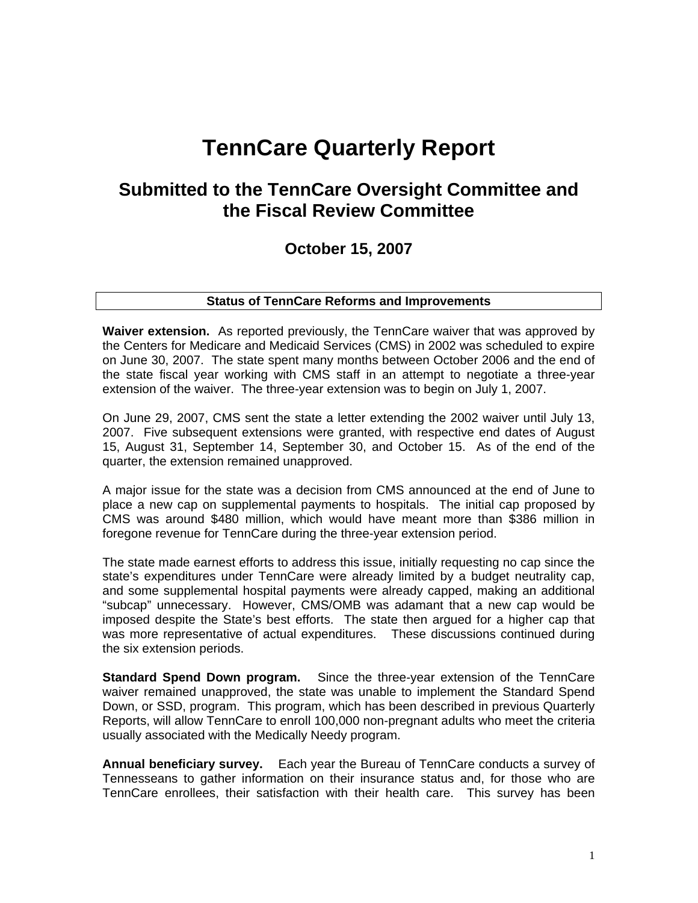# **TennCare Quarterly Report**

# **Submitted to the TennCare Oversight Committee and the Fiscal Review Committee**

# **October 15, 2007**

# **Status of TennCare Reforms and Improvements**

**Waiver extension.** As reported previously, the TennCare waiver that was approved by the Centers for Medicare and Medicaid Services (CMS) in 2002 was scheduled to expire on June 30, 2007. The state spent many months between October 2006 and the end of the state fiscal year working with CMS staff in an attempt to negotiate a three-year extension of the waiver. The three-year extension was to begin on July 1, 2007.

On June 29, 2007, CMS sent the state a letter extending the 2002 waiver until July 13, 2007. Five subsequent extensions were granted, with respective end dates of August 15, August 31, September 14, September 30, and October 15. As of the end of the quarter, the extension remained unapproved.

A major issue for the state was a decision from CMS announced at the end of June to place a new cap on supplemental payments to hospitals. The initial cap proposed by CMS was around \$480 million, which would have meant more than \$386 million in foregone revenue for TennCare during the three-year extension period.

The state made earnest efforts to address this issue, initially requesting no cap since the state's expenditures under TennCare were already limited by a budget neutrality cap, and some supplemental hospital payments were already capped, making an additional "subcap" unnecessary. However, CMS/OMB was adamant that a new cap would be imposed despite the State's best efforts. The state then argued for a higher cap that was more representative of actual expenditures. These discussions continued during the six extension periods.

**Standard Spend Down program.** Since the three-year extension of the TennCare waiver remained unapproved, the state was unable to implement the Standard Spend Down, or SSD, program. This program, which has been described in previous Quarterly Reports, will allow TennCare to enroll 100,000 non-pregnant adults who meet the criteria usually associated with the Medically Needy program.

**Annual beneficiary survey.** Each year the Bureau of TennCare conducts a survey of Tennesseans to gather information on their insurance status and, for those who are TennCare enrollees, their satisfaction with their health care. This survey has been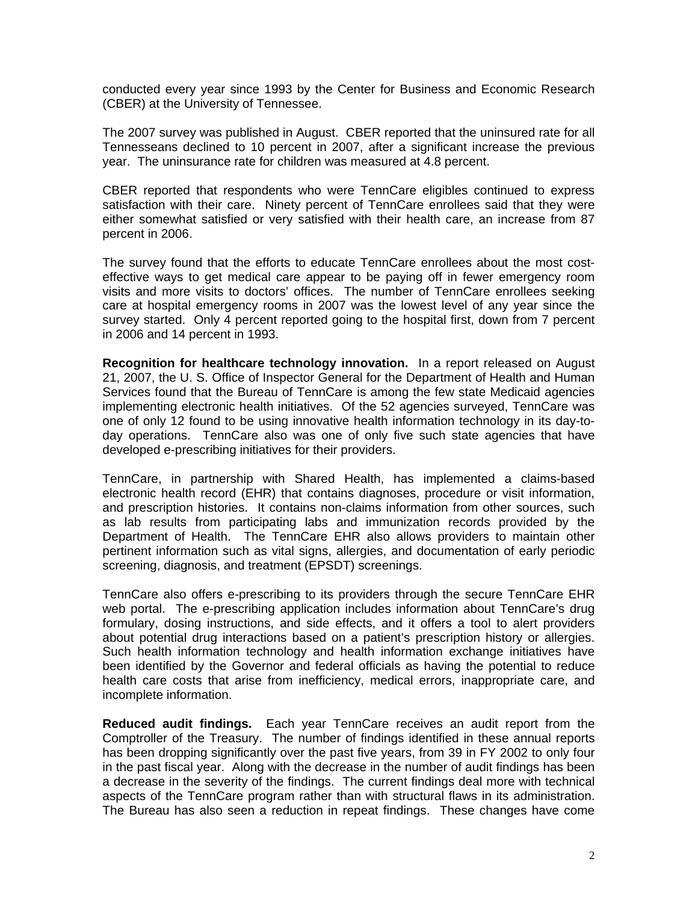conducted every year since 1993 by the Center for Business and Economic Research (CBER) at the University of Tennessee.

The 2007 survey was published in August. CBER reported that the uninsured rate for all Tennesseans declined to 10 percent in 2007, after a significant increase the previous year. The uninsurance rate for children was measured at 4.8 percent.

CBER reported that respondents who were TennCare eligibles continued to express satisfaction with their care. Ninety percent of TennCare enrollees said that they were either somewhat satisfied or very satisfied with their health care, an increase from 87 percent in 2006.

The survey found that the efforts to educate TennCare enrollees about the most costeffective ways to get medical care appear to be paying off in fewer emergency room visits and more visits to doctors' offices. The number of TennCare enrollees seeking care at hospital emergency rooms in 2007 was the lowest level of any year since the survey started. Only 4 percent reported going to the hospital first, down from 7 percent in 2006 and 14 percent in 1993.

**Recognition for healthcare technology innovation.** In a report released on August 21, 2007, the U. S. Office of Inspector General for the Department of Health and Human Services found that the Bureau of TennCare is among the few state Medicaid agencies implementing electronic health initiatives. Of the 52 agencies surveyed, TennCare was one of only 12 found to be using innovative health information technology in its day-today operations. TennCare also was one of only five such state agencies that have developed e-prescribing initiatives for their providers.

TennCare, in partnership with Shared Health, has implemented a claims-based electronic health record (EHR) that contains diagnoses, procedure or visit information, and prescription histories. It contains non-claims information from other sources, such as lab results from participating labs and immunization records provided by the Department of Health. The TennCare EHR also allows providers to maintain other pertinent information such as vital signs, allergies, and documentation of early periodic screening, diagnosis, and treatment (EPSDT) screenings.

TennCare also offers e-prescribing to its providers through the secure TennCare EHR web portal. The e-prescribing application includes information about TennCare's drug formulary, dosing instructions, and side effects, and it offers a tool to alert providers about potential drug interactions based on a patient's prescription history or allergies. Such health information technology and health information exchange initiatives have been identified by the Governor and federal officials as having the potential to reduce health care costs that arise from inefficiency, medical errors, inappropriate care, and incomplete information.

**Reduced audit findings.** Each year TennCare receives an audit report from the Comptroller of the Treasury. The number of findings identified in these annual reports has been dropping significantly over the past five years, from 39 in FY 2002 to only four in the past fiscal year. Along with the decrease in the number of audit findings has been a decrease in the severity of the findings. The current findings deal more with technical aspects of the TennCare program rather than with structural flaws in its administration. The Bureau has also seen a reduction in repeat findings. These changes have come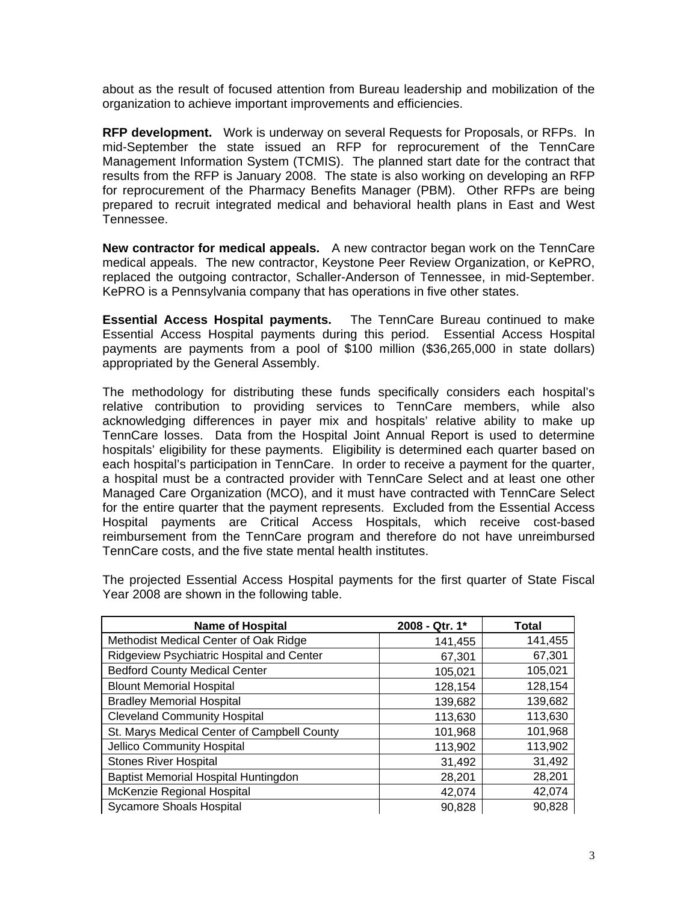about as the result of focused attention from Bureau leadership and mobilization of the organization to achieve important improvements and efficiencies.

**RFP development.** Work is underway on several Requests for Proposals, or RFPs. In mid-September the state issued an RFP for reprocurement of the TennCare Management Information System (TCMIS). The planned start date for the contract that results from the RFP is January 2008. The state is also working on developing an RFP for reprocurement of the Pharmacy Benefits Manager (PBM). Other RFPs are being prepared to recruit integrated medical and behavioral health plans in East and West Tennessee.

**New contractor for medical appeals.** A new contractor began work on the TennCare medical appeals. The new contractor, Keystone Peer Review Organization, or KePRO, replaced the outgoing contractor, Schaller-Anderson of Tennessee, in mid-September. KePRO is a Pennsylvania company that has operations in five other states.

**Essential Access Hospital payments.** The TennCare Bureau continued to make Essential Access Hospital payments during this period. Essential Access Hospital payments are payments from a pool of \$100 million (\$36,265,000 in state dollars) appropriated by the General Assembly.

The methodology for distributing these funds specifically considers each hospital's relative contribution to providing services to TennCare members, while also acknowledging differences in payer mix and hospitals' relative ability to make up TennCare losses. Data from the Hospital Joint Annual Report is used to determine hospitals' eligibility for these payments. Eligibility is determined each quarter based on each hospital's participation in TennCare. In order to receive a payment for the quarter, a hospital must be a contracted provider with TennCare Select and at least one other Managed Care Organization (MCO), and it must have contracted with TennCare Select for the entire quarter that the payment represents. Excluded from the Essential Access Hospital payments are Critical Access Hospitals, which receive cost-based reimbursement from the TennCare program and therefore do not have unreimbursed TennCare costs, and the five state mental health institutes.

| <b>Name of Hospital</b>                     | 2008 - Qtr. 1* | Total   |
|---------------------------------------------|----------------|---------|
| Methodist Medical Center of Oak Ridge       | 141,455        | 141,455 |
| Ridgeview Psychiatric Hospital and Center   | 67,301         | 67,301  |
| <b>Bedford County Medical Center</b>        | 105,021        | 105,021 |
| <b>Blount Memorial Hospital</b>             | 128,154        | 128,154 |
| <b>Bradley Memorial Hospital</b>            | 139,682        | 139,682 |
| <b>Cleveland Community Hospital</b>         | 113,630        | 113,630 |
| St. Marys Medical Center of Campbell County | 101,968        | 101,968 |
| Jellico Community Hospital                  | 113,902        | 113,902 |
| <b>Stones River Hospital</b>                | 31,492         | 31,492  |
| Baptist Memorial Hospital Huntingdon        | 28,201         | 28,201  |
| McKenzie Regional Hospital                  | 42,074         | 42,074  |
| <b>Sycamore Shoals Hospital</b>             | 90,828         | 90,828  |

The projected Essential Access Hospital payments for the first quarter of State Fiscal Year 2008 are shown in the following table.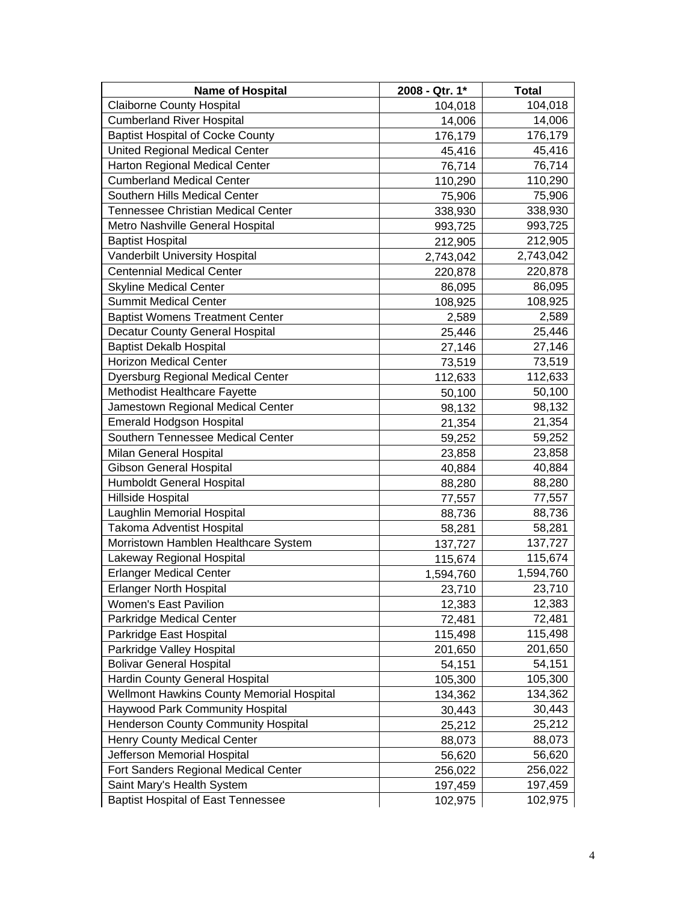| <b>Name of Hospital</b>                   | 2008 - Qtr. 1* | <b>Total</b> |
|-------------------------------------------|----------------|--------------|
| <b>Claiborne County Hospital</b>          | 104,018        | 104,018      |
| <b>Cumberland River Hospital</b>          | 14,006         | 14,006       |
| <b>Baptist Hospital of Cocke County</b>   | 176,179        | 176,179      |
| United Regional Medical Center            | 45,416         | 45,416       |
| Harton Regional Medical Center            | 76,714         | 76,714       |
| <b>Cumberland Medical Center</b>          | 110,290        | 110,290      |
| Southern Hills Medical Center             | 75,906         | 75,906       |
| Tennessee Christian Medical Center        | 338,930        | 338,930      |
| Metro Nashville General Hospital          | 993,725        | 993,725      |
| <b>Baptist Hospital</b>                   | 212,905        | 212,905      |
| Vanderbilt University Hospital            | 2,743,042      | 2,743,042    |
| <b>Centennial Medical Center</b>          | 220,878        | 220,878      |
| <b>Skyline Medical Center</b>             | 86,095         | 86,095       |
| <b>Summit Medical Center</b>              | 108,925        | 108,925      |
| <b>Baptist Womens Treatment Center</b>    | 2,589          | 2,589        |
| Decatur County General Hospital           | 25,446         | 25,446       |
| <b>Baptist Dekalb Hospital</b>            | 27,146         | 27,146       |
| <b>Horizon Medical Center</b>             | 73,519         | 73,519       |
| <b>Dyersburg Regional Medical Center</b>  | 112,633        | 112,633      |
| Methodist Healthcare Fayette              | 50,100         | 50,100       |
| Jamestown Regional Medical Center         | 98,132         | 98,132       |
| <b>Emerald Hodgson Hospital</b>           | 21,354         | 21,354       |
| Southern Tennessee Medical Center         | 59,252         | 59,252       |
| Milan General Hospital                    | 23,858         | 23,858       |
| <b>Gibson General Hospital</b>            | 40,884         | 40,884       |
| Humboldt General Hospital                 | 88,280         | 88,280       |
| <b>Hillside Hospital</b>                  | 77,557         | 77,557       |
| Laughlin Memorial Hospital                | 88,736         | 88,736       |
| Takoma Adventist Hospital                 | 58,281         | 58,281       |
| Morristown Hamblen Healthcare System      | 137,727        | 137,727      |
| Lakeway Regional Hospital                 | 115,674        | 115,674      |
| <b>Erlanger Medical Center</b>            | 1,594,760      | 1,594,760    |
| <b>Erlanger North Hospital</b>            | 23,710         | 23,710       |
| Women's East Pavilion                     | 12,383         | 12,383       |
| Parkridge Medical Center                  | 72,481         | 72,481       |
| Parkridge East Hospital                   | 115,498        | 115,498      |
| Parkridge Valley Hospital                 | 201,650        | 201,650      |
| <b>Bolivar General Hospital</b>           | 54,151         | 54,151       |
| Hardin County General Hospital            | 105,300        | 105,300      |
| Wellmont Hawkins County Memorial Hospital | 134,362        | 134,362      |
| Haywood Park Community Hospital           | 30,443         | 30,443       |
| Henderson County Community Hospital       | 25,212         | 25,212       |
| Henry County Medical Center               | 88,073         | 88,073       |
| Jefferson Memorial Hospital               | 56,620         | 56,620       |
| Fort Sanders Regional Medical Center      | 256,022        | 256,022      |
| Saint Mary's Health System                | 197,459        | 197,459      |
| <b>Baptist Hospital of East Tennessee</b> | 102,975        | 102,975      |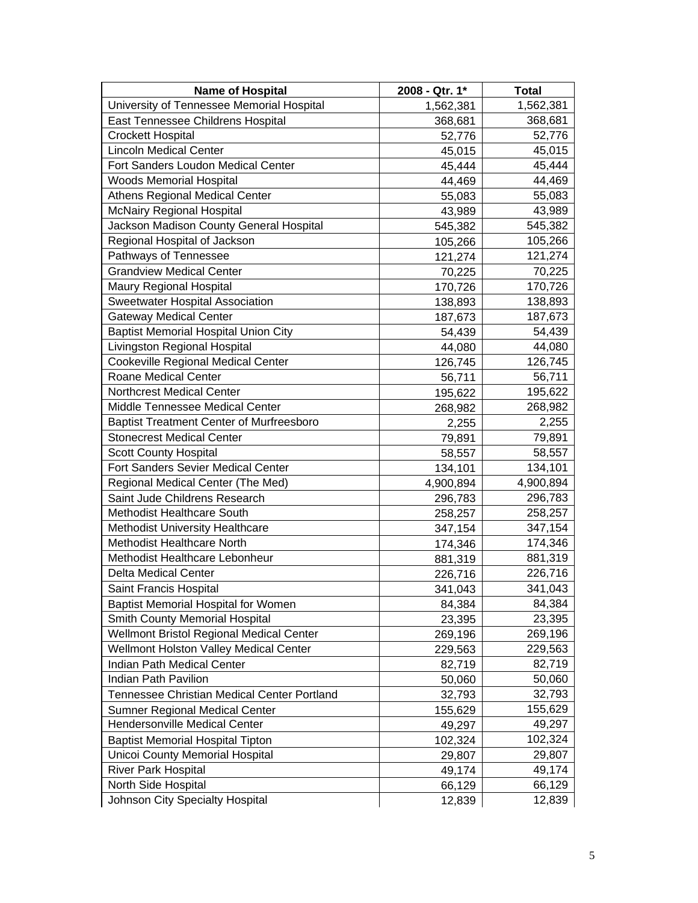| <b>Name of Hospital</b>                         | 2008 - Qtr. 1* | <b>Total</b> |
|-------------------------------------------------|----------------|--------------|
| University of Tennessee Memorial Hospital       | 1,562,381      | 1,562,381    |
| East Tennessee Childrens Hospital               | 368,681        | 368,681      |
| <b>Crockett Hospital</b>                        | 52,776         | 52,776       |
| <b>Lincoln Medical Center</b>                   | 45,015         | 45,015       |
| Fort Sanders Loudon Medical Center              | 45,444         | 45,444       |
| <b>Woods Memorial Hospital</b>                  | 44,469         | 44,469       |
| <b>Athens Regional Medical Center</b>           | 55,083         | 55,083       |
| <b>McNairy Regional Hospital</b>                | 43,989         | 43,989       |
| Jackson Madison County General Hospital         | 545,382        | 545,382      |
| Regional Hospital of Jackson                    | 105,266        | 105,266      |
| Pathways of Tennessee                           | 121,274        | 121,274      |
| <b>Grandview Medical Center</b>                 | 70,225         | 70,225       |
| Maury Regional Hospital                         | 170,726        | 170,726      |
| Sweetwater Hospital Association                 | 138,893        | 138,893      |
| <b>Gateway Medical Center</b>                   | 187,673        | 187,673      |
| <b>Baptist Memorial Hospital Union City</b>     | 54,439         | 54,439       |
| Livingston Regional Hospital                    | 44,080         | 44,080       |
| <b>Cookeville Regional Medical Center</b>       | 126,745        | 126,745      |
| Roane Medical Center                            | 56,711         | 56,711       |
| <b>Northcrest Medical Center</b>                | 195,622        | 195,622      |
| Middle Tennessee Medical Center                 | 268,982        | 268,982      |
| <b>Baptist Treatment Center of Murfreesboro</b> | 2,255          | 2,255        |
| <b>Stonecrest Medical Center</b>                | 79,891         | 79,891       |
| <b>Scott County Hospital</b>                    | 58,557         | 58,557       |
| Fort Sanders Sevier Medical Center              | 134,101        | 134,101      |
| Regional Medical Center (The Med)               | 4,900,894      | 4,900,894    |
| Saint Jude Childrens Research                   | 296,783        | 296,783      |
| Methodist Healthcare South                      | 258,257        | 258,257      |
| <b>Methodist University Healthcare</b>          | 347,154        | 347,154      |
| <b>Methodist Healthcare North</b>               | 174,346        | 174,346      |
| Methodist Healthcare Lebonheur                  | 881,319        | 881,319      |
| Delta Medical Center                            | 226,716        | 226,716      |
| Saint Francis Hospital                          | 341,043        | 341,043      |
| <b>Baptist Memorial Hospital for Women</b>      | 84,384         | 84,384       |
| Smith County Memorial Hospital                  | 23,395         | 23,395       |
| Wellmont Bristol Regional Medical Center        | 269,196        | 269,196      |
| Wellmont Holston Valley Medical Center          | 229,563        | 229,563      |
| Indian Path Medical Center                      | 82,719         | 82,719       |
| Indian Path Pavilion                            | 50,060         | 50,060       |
| Tennessee Christian Medical Center Portland     | 32,793         | 32,793       |
| Sumner Regional Medical Center                  | 155,629        | 155,629      |
| Hendersonville Medical Center                   | 49,297         | 49,297       |
| <b>Baptist Memorial Hospital Tipton</b>         | 102,324        | 102,324      |
| <b>Unicoi County Memorial Hospital</b>          | 29,807         | 29,807       |
| <b>River Park Hospital</b>                      | 49,174         | 49,174       |
| North Side Hospital                             | 66,129         | 66,129       |
| Johnson City Specialty Hospital                 | 12,839         | 12,839       |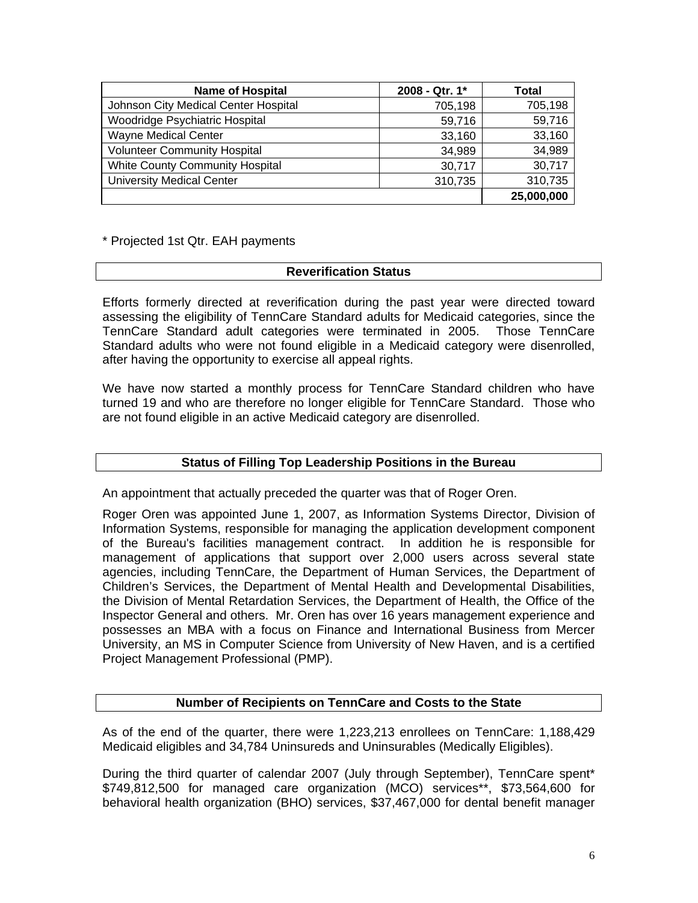| <b>Name of Hospital</b>                | 2008 - Qtr. 1* | Total      |
|----------------------------------------|----------------|------------|
| Johnson City Medical Center Hospital   | 705,198        | 705,198    |
| Woodridge Psychiatric Hospital         | 59,716         | 59,716     |
| Wayne Medical Center                   | 33,160         | 33,160     |
| <b>Volunteer Community Hospital</b>    | 34,989         | 34,989     |
| <b>White County Community Hospital</b> | 30,717         | 30,717     |
| <b>University Medical Center</b>       | 310,735        | 310,735    |
|                                        |                | 25,000,000 |

\* Projected 1st Qtr. EAH payments

#### **Reverification Status**

Efforts formerly directed at reverification during the past year were directed toward assessing the eligibility of TennCare Standard adults for Medicaid categories, since the TennCare Standard adult categories were terminated in 2005. Those TennCare Standard adults who were not found eligible in a Medicaid category were disenrolled, after having the opportunity to exercise all appeal rights.

We have now started a monthly process for TennCare Standard children who have turned 19 and who are therefore no longer eligible for TennCare Standard. Those who are not found eligible in an active Medicaid category are disenrolled.

#### **Status of Filling Top Leadership Positions in the Bureau**

An appointment that actually preceded the quarter was that of Roger Oren.

Roger Oren was appointed June 1, 2007, as Information Systems Director, Division of Information Systems, responsible for managing the application development component of the Bureau's facilities management contract. In addition he is responsible for management of applications that support over 2,000 users across several state agencies, including TennCare, the Department of Human Services, the Department of Children's Services, the Department of Mental Health and Developmental Disabilities, the Division of Mental Retardation Services, the Department of Health, the Office of the Inspector General and others. Mr. Oren has over 16 years management experience and possesses an MBA with a focus on Finance and International Business from Mercer University, an MS in Computer Science from University of New Haven, and is a certified Project Management Professional (PMP).

#### **Number of Recipients on TennCare and Costs to the State**

As of the end of the quarter, there were 1,223,213 enrollees on TennCare: 1,188,429 Medicaid eligibles and 34,784 Uninsureds and Uninsurables (Medically Eligibles).

During the third quarter of calendar 2007 (July through September), TennCare spent\* \$749,812,500 for managed care organization (MCO) services\*\*, \$73,564,600 for behavioral health organization (BHO) services, \$37,467,000 for dental benefit manager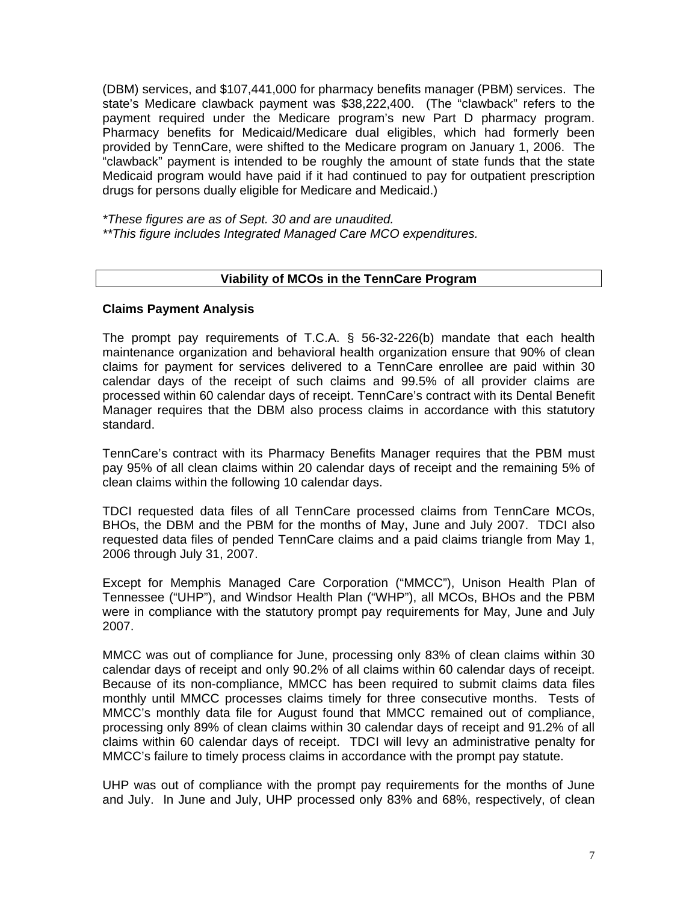(DBM) services, and \$107,441,000 for pharmacy benefits manager (PBM) services. The state's Medicare clawback payment was \$38,222,400. (The "clawback" refers to the payment required under the Medicare program's new Part D pharmacy program. Pharmacy benefits for Medicaid/Medicare dual eligibles, which had formerly been provided by TennCare, were shifted to the Medicare program on January 1, 2006. The "clawback" payment is intended to be roughly the amount of state funds that the state Medicaid program would have paid if it had continued to pay for outpatient prescription drugs for persons dually eligible for Medicare and Medicaid.)

*\*These figures are as of Sept. 30 and are unaudited.* 

*\*\*This figure includes Integrated Managed Care MCO expenditures.* 

# **Viability of MCOs in the TennCare Program**

# **Claims Payment Analysis**

The prompt pay requirements of T.C.A. § 56-32-226(b) mandate that each health maintenance organization and behavioral health organization ensure that 90% of clean claims for payment for services delivered to a TennCare enrollee are paid within 30 calendar days of the receipt of such claims and 99.5% of all provider claims are processed within 60 calendar days of receipt. TennCare's contract with its Dental Benefit Manager requires that the DBM also process claims in accordance with this statutory standard.

TennCare's contract with its Pharmacy Benefits Manager requires that the PBM must pay 95% of all clean claims within 20 calendar days of receipt and the remaining 5% of clean claims within the following 10 calendar days.

TDCI requested data files of all TennCare processed claims from TennCare MCOs, BHOs, the DBM and the PBM for the months of May, June and July 2007. TDCI also requested data files of pended TennCare claims and a paid claims triangle from May 1, 2006 through July 31, 2007.

Except for Memphis Managed Care Corporation ("MMCC"), Unison Health Plan of Tennessee ("UHP"), and Windsor Health Plan ("WHP"), all MCOs, BHOs and the PBM were in compliance with the statutory prompt pay requirements for May, June and July 2007.

MMCC was out of compliance for June, processing only 83% of clean claims within 30 calendar days of receipt and only 90.2% of all claims within 60 calendar days of receipt. Because of its non-compliance, MMCC has been required to submit claims data files monthly until MMCC processes claims timely for three consecutive months. Tests of MMCC's monthly data file for August found that MMCC remained out of compliance, processing only 89% of clean claims within 30 calendar days of receipt and 91.2% of all claims within 60 calendar days of receipt. TDCI will levy an administrative penalty for MMCC's failure to timely process claims in accordance with the prompt pay statute.

UHP was out of compliance with the prompt pay requirements for the months of June and July. In June and July, UHP processed only 83% and 68%, respectively, of clean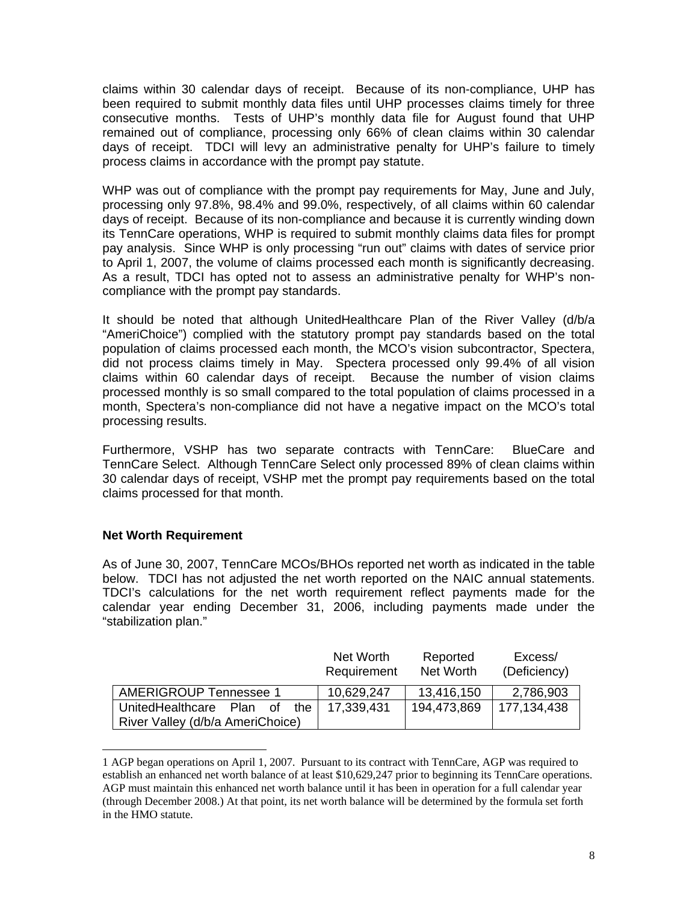claims within 30 calendar days of receipt. Because of its non-compliance, UHP has been required to submit monthly data files until UHP processes claims timely for three consecutive months. Tests of UHP's monthly data file for August found that UHP remained out of compliance, processing only 66% of clean claims within 30 calendar days of receipt. TDCI will levy an administrative penalty for UHP's failure to timely process claims in accordance with the prompt pay statute.

WHP was out of compliance with the prompt pay requirements for May, June and July, processing only 97.8%, 98.4% and 99.0%, respectively, of all claims within 60 calendar days of receipt. Because of its non-compliance and because it is currently winding down its TennCare operations, WHP is required to submit monthly claims data files for prompt pay analysis. Since WHP is only processing "run out" claims with dates of service prior to April 1, 2007, the volume of claims processed each month is significantly decreasing. As a result, TDCI has opted not to assess an administrative penalty for WHP's noncompliance with the prompt pay standards.

It should be noted that although UnitedHealthcare Plan of the River Valley (d/b/a "AmeriChoice") complied with the statutory prompt pay standards based on the total population of claims processed each month, the MCO's vision subcontractor, Spectera, did not process claims timely in May. Spectera processed only 99.4% of all vision claims within 60 calendar days of receipt. Because the number of vision claims processed monthly is so small compared to the total population of claims processed in a month, Spectera's non-compliance did not have a negative impact on the MCO's total processing results.

Furthermore, VSHP has two separate contracts with TennCare: BlueCare and TennCare Select. Although TennCare Select only processed 89% of clean claims within 30 calendar days of receipt, VSHP met the prompt pay requirements based on the total claims processed for that month.

# **Net Worth Requirement**

 $\overline{a}$ 

As of June 30, 2007, TennCare MCOs/BHOs reported net worth as indicated in the table below. TDCI has not adjusted the net worth reported on the NAIC annual statements. TDCI's calculations for the net worth requirement reflect payments made for the calendar year ending December 31, 2006, including payments made under the "stabilization plan."

|                                    | Net Worth<br>Requirement | Reported<br>Net Worth | Excess/<br>(Deficiency) |
|------------------------------------|--------------------------|-----------------------|-------------------------|
| <b>AMERIGROUP Tennessee 1</b>      | 10,629,247               | 13,416,150            | 2,786,903               |
| UnitedHealthcare<br>the<br>Plan of | 17,339,431               | 194,473,869           | 177,134,438             |
| River Valley (d/b/a AmeriChoice)   |                          |                       |                         |

<span id="page-7-0"></span><sup>1</sup> AGP began operations on April 1, 2007. Pursuant to its contract with TennCare, AGP was required to establish an enhanced net worth balance of at least \$10,629,247 prior to beginning its TennCare operations. AGP must maintain this enhanced net worth balance until it has been in operation for a full calendar year (through December 2008.) At that point, its net worth balance will be determined by the formula set forth in the HMO statute.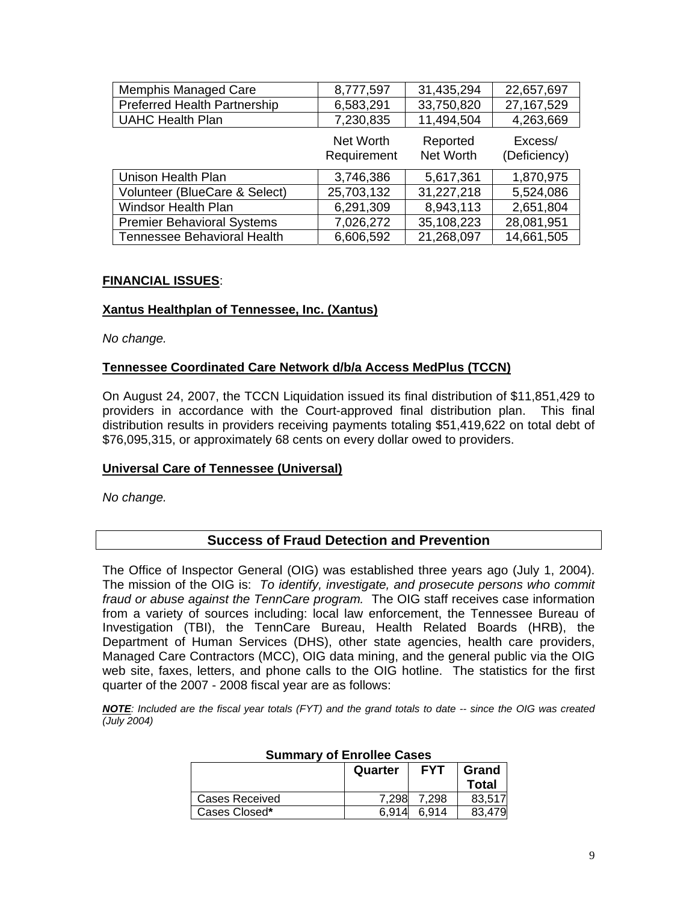| <b>Memphis Managed Care</b>         | 8,777,597                | 31,435,294            | 22,657,697              |
|-------------------------------------|--------------------------|-----------------------|-------------------------|
| <b>Preferred Health Partnership</b> | 6,583,291                | 33,750,820            | 27, 167, 529            |
| <b>UAHC Health Plan</b>             | 7,230,835                | 11,494,504            | 4,263,669               |
|                                     | Net Worth<br>Requirement | Reported<br>Net Worth | Excess/<br>(Deficiency) |
| Unison Health Plan                  | 3,746,386                | 5,617,361             | 1,870,975               |
| Volunteer (BlueCare & Select)       | 25,703,132               | 31,227,218            | 5,524,086               |
| <b>Windsor Health Plan</b>          | 6,291,309                | 8,943,113             | 2,651,804               |
| <b>Premier Behavioral Systems</b>   | 7,026,272                | 35,108,223            | 28,081,951              |
| Tennessee Behavioral Health         | 6,606,592                | 21,268,097            | 14,661,505              |

# **FINANCIAL ISSUES**:

# **Xantus Healthplan of Tennessee, Inc. (Xantus)**

*No change.* 

#### **Tennessee Coordinated Care Network d/b/a Access MedPlus (TCCN)**

On August 24, 2007, the TCCN Liquidation issued its final distribution of \$11,851,429 to providers in accordance with the Court-approved final distribution plan. This final distribution results in providers receiving payments totaling \$51,419,622 on total debt of \$76,095,315, or approximately 68 cents on every dollar owed to providers.

#### **Universal Care of Tennessee (Universal)**

*No change.* 

# **Success of Fraud Detection and Prevention**

The Office of Inspector General (OIG) was established three years ago (July 1, 2004). The mission of the OIG is: *To identify, investigate, and prosecute persons who commit fraud or abuse against the TennCare program.* The OIG staff receives case information from a variety of sources including: local law enforcement, the Tennessee Bureau of Investigation (TBI), the TennCare Bureau, Health Related Boards (HRB), the Department of Human Services (DHS), other state agencies, health care providers, Managed Care Contractors (MCC), OIG data mining, and the general public via the OIG web site, faxes, letters, and phone calls to the OIG hotline. The statistics for the first quarter of the 2007 - 2008 fiscal year are as follows:

*NOTE: Included are the fiscal year totals (FYT) and the grand totals to date -- since the OIG was created (July 2004)* 

| OGIIIIIGI V VI ENIVIIVU VAJVJ |         |            |        |
|-------------------------------|---------|------------|--------|
|                               | Quarter | <b>FYT</b> | Grand  |
|                               |         |            | Total  |
| Cases Received                | 7.298   | 7.298      | 83.517 |
| Cases Closed*                 | 6.914   | 6.914      | 83.479 |

# **Summary of Enrollee Cases**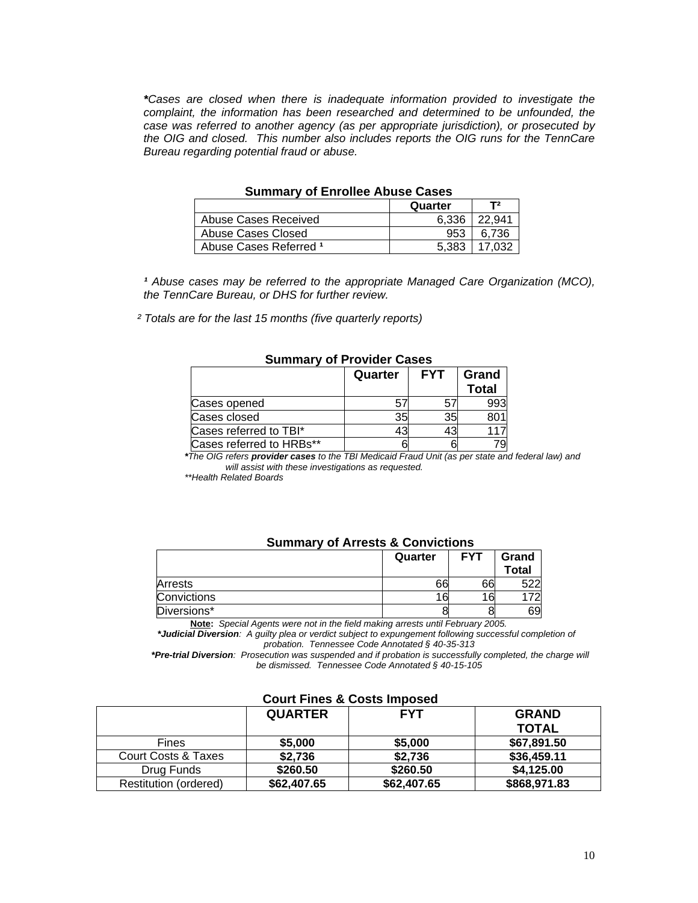*\*Cases are closed when there is inadequate information provided to investigate the*  complaint, the information has been researched and determined to be unfounded, the *case was referred to another agency (as per appropriate jurisdiction), or prosecuted by the OIG and closed. This number also includes reports the OIG runs for the TennCare Bureau regarding potential fraud or abuse.* 

| <b>UMINIUM Y UI ENTUNIUS ADUUS UUSUS</b> |         |         |
|------------------------------------------|---------|---------|
|                                          | Quarter | T2      |
| Abuse Cases Received                     | 6.336   | 122.941 |
| Abuse Cases Closed                       | 953     | 6.736   |
| Abuse Cases Referred 1                   | 5.383   | 17.032  |

#### **Summary of Enrollee Abuse Cases**

<sup>1</sup> Abuse cases may be referred to the appropriate Managed Care Organization (MCO), *the TennCare Bureau, or DHS for further review.* 

 *² Totals are for the last 15 months (five quarterly reports)* 

| --------                 |         |            |                       |
|--------------------------|---------|------------|-----------------------|
|                          | Quarter | <b>FYT</b> | Grand<br><b>Total</b> |
| Cases opened             |         | 5          | 993                   |
| Cases closed             | 35      | 35         |                       |
| Cases referred to TBI*   |         |            |                       |
| Cases referred to HRBs** |         |            |                       |

#### **Summary of Provider Cases**

*\*The OIG refers provider cases to the TBI Medicaid Fraud Unit (as per state and federal law) and will assist with these investigations as requested.* 

 *\*\*Health Related Boards* 

#### **Summary of Arrests & Convictions**

|             | Quarter | <b>FYT</b> | Grand<br>Total |
|-------------|---------|------------|----------------|
| Arrests     | 66      | 66         | rnn            |
| Convictions | 6       | 16         | 70.            |
| Diversions* |         |            | 69             |

**Note:** *Special Agents were not in the field making arrests until February 2005. \*Judicial Diversion: A guilty plea or verdict subject to expungement following successful completion of probation. Tennessee Code Annotated § 40-35-313* 

 *\*Pre-trial Diversion: Prosecution was suspended and if probation is successfully completed, the charge will be dismissed. Tennessee Code Annotated § 40-15-105* 

|                                | <b>QUARTER</b> | <b>FYT</b>  | <b>GRAND</b> |
|--------------------------------|----------------|-------------|--------------|
|                                |                |             | <b>TOTAL</b> |
| <b>Fines</b>                   | \$5,000        | \$5,000     | \$67,891.50  |
| <b>Court Costs &amp; Taxes</b> | \$2,736        | \$2,736     | \$36,459.11  |
| Drug Funds                     | \$260.50       | \$260.50    | \$4,125.00   |
| Restitution (ordered)          | \$62,407.65    | \$62,407.65 | \$868,971.83 |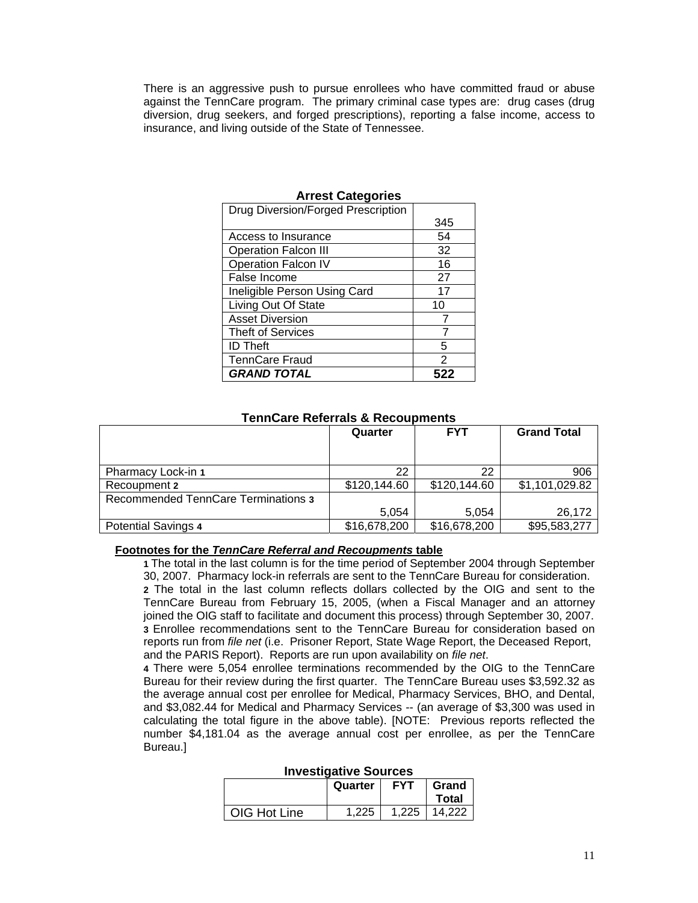There is an aggressive push to pursue enrollees who have committed fraud or abuse against the TennCare program. The primary criminal case types are: drug cases (drug diversion, drug seekers, and forged prescriptions), reporting a false income, access to insurance, and living outside of the State of Tennessee.

| AN IVOL VALVYONO                   |     |  |
|------------------------------------|-----|--|
| Drug Diversion/Forged Prescription |     |  |
|                                    | 345 |  |
| Access to Insurance                | 54  |  |
| <b>Operation Falcon III</b>        | 32  |  |
| Operation Falcon IV                | 16  |  |
| False Income                       | 27  |  |
| Ineligible Person Using Card       | 17  |  |
| Living Out Of State                | 10  |  |
| <b>Asset Diversion</b>             |     |  |
| <b>Theft of Services</b>           |     |  |
| <b>ID Theft</b>                    | 5   |  |
| <b>TennCare Fraud</b>              | 2   |  |
| <b>GRAND TOTAL</b>                 |     |  |

# **Arrest Categories**

#### **TennCare Referrals & Recoupments**

|                                            | Quarter      | <b>FYT</b>   | <b>Grand Total</b> |
|--------------------------------------------|--------------|--------------|--------------------|
| Pharmacy Lock-in 1                         | 22           | 22           | 906                |
| Recoupment 2                               | \$120,144.60 | \$120,144.60 | \$1,101,029.82     |
| <b>Recommended TennCare Terminations 3</b> |              |              |                    |
|                                            | 5.054        | 5.054        | 26,172             |
| <b>Potential Savings 4</b>                 | \$16,678,200 | \$16,678,200 | \$95,583,277       |

#### **Footnotes for the** *TennCare Referral and Recoupments* **table**

 **1** The total in the last column is for the time period of September 2004 through September 30, 2007. Pharmacy lock-in referrals are sent to the TennCare Bureau for consideration.

**2** The total in the last column reflects dollars collected by the OIG and sent to the TennCare Bureau from February 15, 2005, (when a Fiscal Manager and an attorney joined the OIG staff to facilitate and document this process) through September 30, 2007. **3** Enrollee recommendations sent to the TennCare Bureau for consideration based on reports run from *file net* (i.e. Prisoner Report, State Wage Report, the Deceased Report, and the PARIS Report). Reports are run upon availability on *file net*.

**4** There were 5,054 enrollee terminations recommended by the OIG to the TennCare Bureau for their review during the first quarter. The TennCare Bureau uses \$3,592.32 as the average annual cost per enrollee for Medical, Pharmacy Services, BHO, and Dental, and \$3,082.44 for Medical and Pharmacy Services -- (an average of \$3,300 was used in calculating the total figure in the above table). [NOTE: Previous reports reflected the number \$4,181.04 as the average annual cost per enrollee, as per the TennCare Bureau.]

| www.community.com |         |            |                |
|-------------------|---------|------------|----------------|
|                   | Quarter | <b>FYT</b> | Grand<br>Total |
| OIG Hot Line      | 1.225   | 1.225      | 14.222         |

#### **Investigative Sources**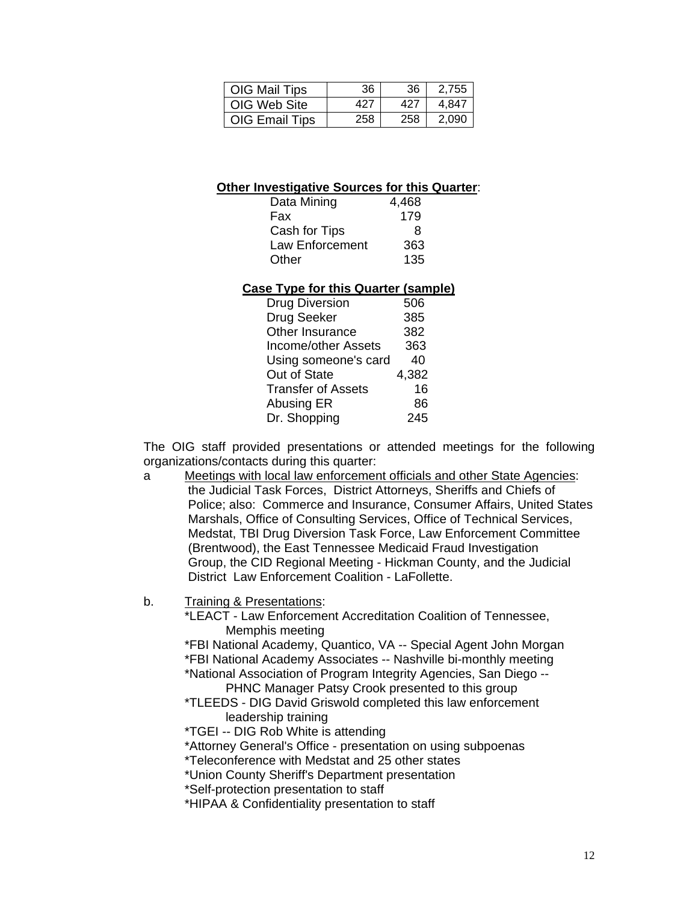| OIG Mail Tips  | 36  | 36  | 2.755 |
|----------------|-----|-----|-------|
| OIG Web Site   | 427 | 427 | 4.847 |
| OIG Email Tips | 258 | 258 | 2.090 |

# **Other Investigative Sources for this Quarter**:

| Data Mining     | 4,468 |
|-----------------|-------|
| Fax             | 179   |
| Cash for Tips   | 8     |
| Law Enforcement | 363   |
| Other           | 135   |

# **Case Type for this Quarter (sample)**

| <b>Drug Diversion</b>     | 506   |
|---------------------------|-------|
| Drug Seeker               | 385   |
| Other Insurance           | 382   |
| Income/other Assets       | 363   |
| Using someone's card      | 40    |
| Out of State              | 4,382 |
| <b>Transfer of Assets</b> | 16    |
| Abusing ER                | 86    |
| Dr. Shopping              | 245   |

 The OIG staff provided presentations or attended meetings for the following organizations/contacts during this quarter:

- a Meetings with local law enforcement officials and other State Agencies: the Judicial Task Forces, District Attorneys, Sheriffs and Chiefs of Police; also: Commerce and Insurance, Consumer Affairs, United States Marshals, Office of Consulting Services, Office of Technical Services, Medstat, TBI Drug Diversion Task Force, Law Enforcement Committee (Brentwood), the East Tennessee Medicaid Fraud Investigation Group, the CID Regional Meeting - Hickman County, and the Judicial District Law Enforcement Coalition - LaFollette.
- b. Training & Presentations:

 \*LEACT - Law Enforcement Accreditation Coalition of Tennessee, Memphis meeting

 \*FBI National Academy, Quantico, VA -- Special Agent John Morgan \*FBI National Academy Associates -- Nashville bi-monthly meeting

 \*National Association of Program Integrity Agencies, San Diego -- PHNC Manager Patsy Crook presented to this group

- \*TLEEDS DIG David Griswold completed this law enforcement leadership training
- \*TGEI -- DIG Rob White is attending

\*Attorney General's Office - presentation on using subpoenas

\*Teleconference with Medstat and 25 other states

\*Union County Sheriff's Department presentation

\*Self-protection presentation to staff

\*HIPAA & Confidentiality presentation to staff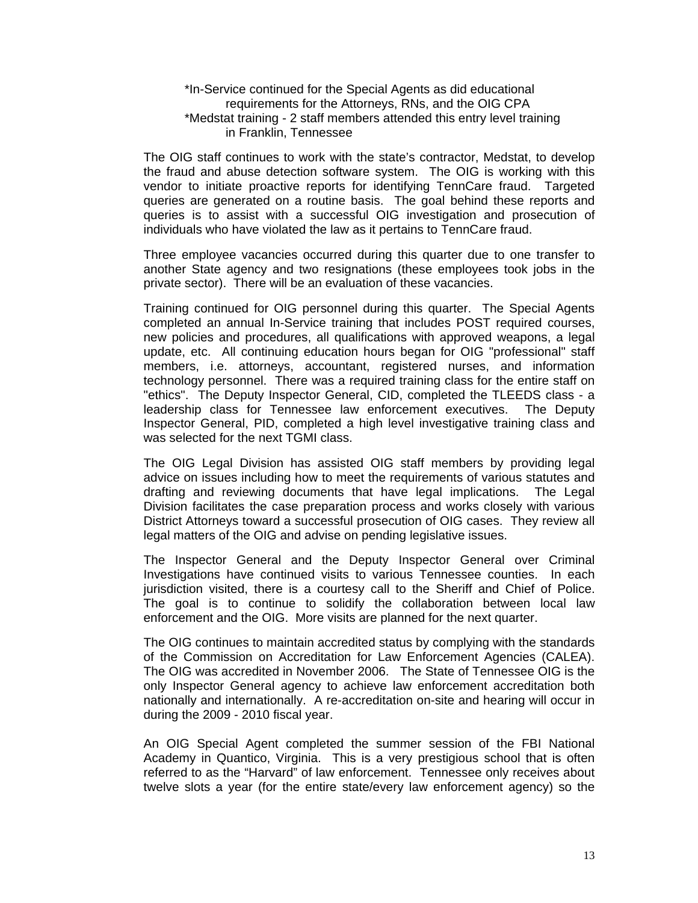#### \*In-Service continued for the Special Agents as did educational requirements for the Attorneys, RNs, and the OIG CPA \*Medstat training - 2 staff members attended this entry level training in Franklin, Tennessee

 The OIG staff continues to work with the state's contractor, Medstat, to develop the fraud and abuse detection software system. The OIG is working with this vendor to initiate proactive reports for identifying TennCare fraud. Targeted queries are generated on a routine basis. The goal behind these reports and queries is to assist with a successful OIG investigation and prosecution of individuals who have violated the law as it pertains to TennCare fraud.

 Three employee vacancies occurred during this quarter due to one transfer to another State agency and two resignations (these employees took jobs in the private sector). There will be an evaluation of these vacancies.

 Training continued for OIG personnel during this quarter. The Special Agents completed an annual In-Service training that includes POST required courses, new policies and procedures, all qualifications with approved weapons, a legal update, etc. All continuing education hours began for OIG "professional" staff members, i.e. attorneys, accountant, registered nurses, and information technology personnel. There was a required training class for the entire staff on "ethics". The Deputy Inspector General, CID, completed the TLEEDS class - a leadership class for Tennessee law enforcement executives. The Deputy Inspector General, PID, completed a high level investigative training class and was selected for the next TGMI class.

 The OIG Legal Division has assisted OIG staff members by providing legal advice on issues including how to meet the requirements of various statutes and drafting and reviewing documents that have legal implications. The Legal Division facilitates the case preparation process and works closely with various District Attorneys toward a successful prosecution of OIG cases. They review all legal matters of the OIG and advise on pending legislative issues.

The Inspector General and the Deputy Inspector General over Criminal Investigations have continued visits to various Tennessee counties. In each jurisdiction visited, there is a courtesy call to the Sheriff and Chief of Police. The goal is to continue to solidify the collaboration between local law enforcement and the OIG. More visits are planned for the next quarter.

The OIG continues to maintain accredited status by complying with the standards of the Commission on Accreditation for Law Enforcement Agencies (CALEA). The OIG was accredited in November 2006. The State of Tennessee OIG is the only Inspector General agency to achieve law enforcement accreditation both nationally and internationally. A re-accreditation on-site and hearing will occur in during the 2009 - 2010 fiscal year.

 An OIG Special Agent completed the summer session of the FBI National Academy in Quantico, Virginia. This is a very prestigious school that is often referred to as the "Harvard" of law enforcement. Tennessee only receives about twelve slots a year (for the entire state/every law enforcement agency) so the